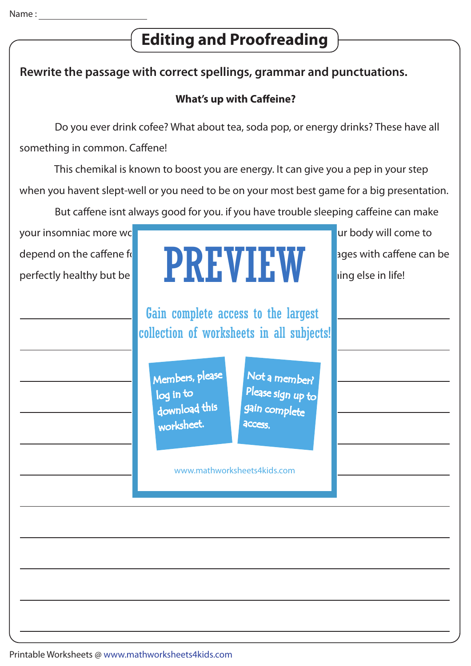# **Editing and Proofreading**

## **Rewrite the passage with correct spellings, grammar and punctuations.**

### **What's up with Caffeine?**

Do you ever drink cofee? What about tea, soda pop, or energy drinks? These have all

something in common. Caffene!

 This chemikal is known to boost you are energy. It can give you a pep in your step when you havent slept-well or you need to be on your most best game for a big presentation.

But caffene isnt always good for you. if you have trouble sleeping caffeine can make